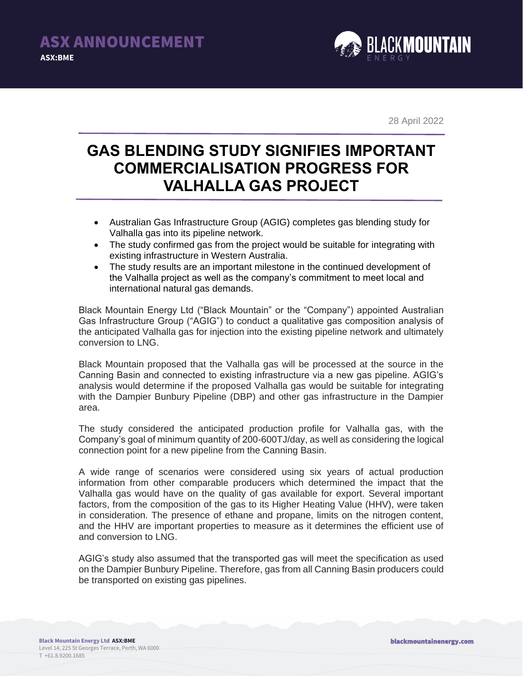

28 April 2022

## **GAS BLENDING STUDY SIGNIFIES IMPORTANT COMMERCIALISATION PROGRESS FOR VALHALLA GAS PROJECT**

- Australian Gas Infrastructure Group (AGIG) completes gas blending study for Valhalla gas into its pipeline network.
- The study confirmed gas from the project would be suitable for integrating with existing infrastructure in Western Australia.
- The study results are an important milestone in the continued development of the Valhalla project as well as the company's commitment to meet local and international natural gas demands.

Black Mountain Energy Ltd ("Black Mountain" or the "Company") appointed Australian Gas Infrastructure Group ("AGIG") to conduct a qualitative gas composition analysis of the anticipated Valhalla gas for injection into the existing pipeline network and ultimately conversion to LNG.

Black Mountain proposed that the Valhalla gas will be processed at the source in the Canning Basin and connected to existing infrastructure via a new gas pipeline. AGIG's analysis would determine if the proposed Valhalla gas would be suitable for integrating with the Dampier Bunbury Pipeline (DBP) and other gas infrastructure in the Dampier area.

The study considered the anticipated production profile for Valhalla gas, with the Company's goal of minimum quantity of 200-600TJ/day, as well as considering the logical connection point for a new pipeline from the Canning Basin.

A wide range of scenarios were considered using six years of actual production information from other comparable producers which determined the impact that the Valhalla gas would have on the quality of gas available for export. Several important factors, from the composition of the gas to its Higher Heating Value (HHV), were taken in consideration. The presence of ethane and propane, limits on the nitrogen content, and the HHV are important properties to measure as it determines the efficient use of and conversion to LNG.

AGIG's study also assumed that the transported gas will meet the specification as used on the Dampier Bunbury Pipeline. Therefore, gas from all Canning Basin producers could be transported on existing gas pipelines.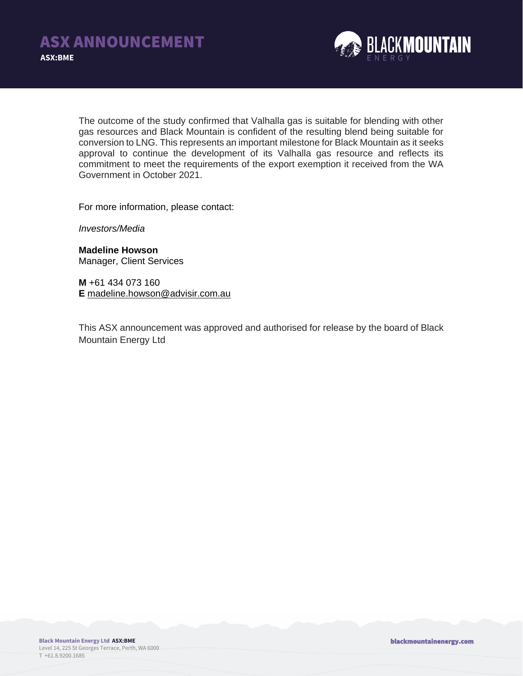

The outcome of the study confirmed that Valhalla gas is suitable for blending with other gas resources and Black Mountain is confident of the resulting blend being suitable for conversion to LNG. This represents an important milestone for Black Mountain as it seeks approval to continue the development of its Valhalla gas resource and reflects its commitment to meet the requirements of the export exemption it received from the WA Government in October 2021.

For more information, please contact:

*Investors/Media*

**Madeline Howson** Manager, Client Services

**M** +61 434 073 160 **E** [madeline.howson@advisir.com.au](mailto:madeline.howson@advisir.com.au)

This ASX announcement was approved and authorised for release by the board of Black Mountain Energy Ltd

blackmountainenergy.com